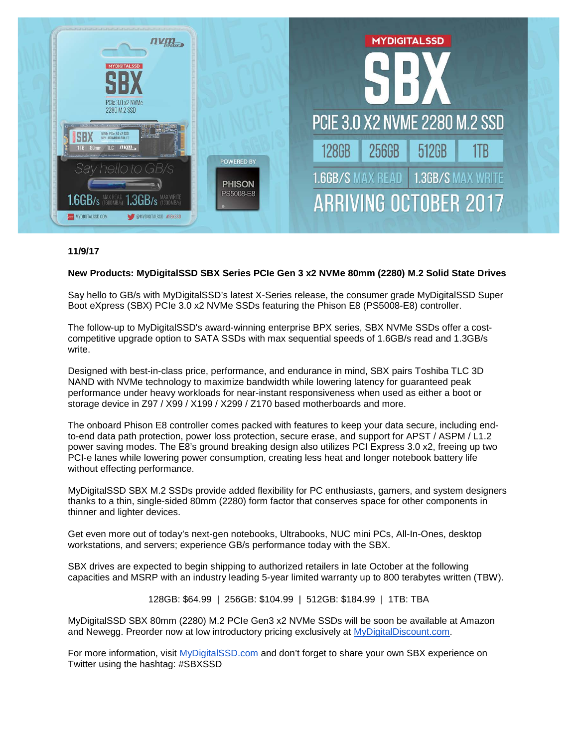

## **11/9/17**

## **New Products: MyDigitalSSD SBX Series PCIe Gen 3 x2 NVMe 80mm (2280) M.2 Solid State Drives**

Say hello to GB/s with MyDigitalSSD's latest X-Series release, the consumer grade MyDigitalSSD Super Boot eXpress (SBX) PCIe 3.0 x2 NVMe SSDs featuring the Phison E8 (PS5008-E8) controller.

The follow-up to MyDigitalSSD's award-winning enterprise BPX series, SBX NVMe SSDs offer a costcompetitive upgrade option to SATA SSDs with max sequential speeds of 1.6GB/s read and 1.3GB/s write.

Designed with best-in-class price, performance, and endurance in mind, SBX pairs Toshiba TLC 3D NAND with NVMe technology to maximize bandwidth while lowering latency for guaranteed peak performance under heavy workloads for near-instant responsiveness when used as either a boot or storage device in Z97 / X99 / X199 / X299 / Z170 based motherboards and more.

The onboard Phison E8 controller comes packed with features to keep your data secure, including endto-end data path protection, power loss protection, secure erase, and support for APST / ASPM / L1.2 power saving modes. The E8's ground breaking design also utilizes PCI Express 3.0 x2, freeing up two PCI-e lanes while lowering power consumption, creating less heat and longer notebook battery life without effecting performance.

MyDigitalSSD SBX M.2 SSDs provide added flexibility for PC enthusiasts, gamers, and system designers thanks to a thin, single-sided 80mm (2280) form factor that conserves space for other components in thinner and lighter devices.

Get even more out of today's next-gen notebooks, Ultrabooks, NUC mini PCs, All-In-Ones, desktop workstations, and servers; experience GB/s performance today with the SBX.

SBX drives are expected to begin shipping to authorized retailers in late October at the following capacities and MSRP with an industry leading 5-year limited warranty up to 800 terabytes written (TBW).

128GB: \$64.99 | 256GB: \$104.99 | 512GB: \$184.99 | 1TB: TBA

MyDigitalSSD SBX 80mm (2280) M.2 PCIe Gen3 x2 NVMe SSDs will be soon be available at Amazon and Newegg. Preorder now at low introductory pricing exclusively at [MyDigitalDiscount.com.](http://tinyurl.com/y8umzalq)

For more information, visit [MyDigitalSSD.com](http://mydigitalssd.com/) and don't forget to share your own SBX experience on Twitter using the hashtag: #SBXSSD